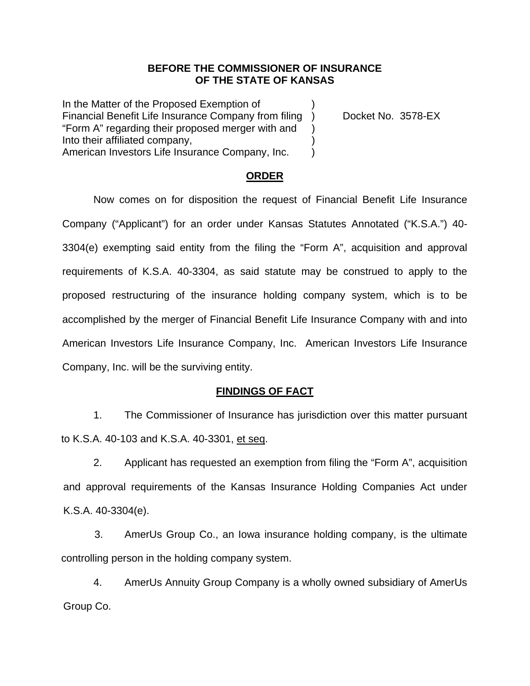## **BEFORE THE COMMISSIONER OF INSURANCE OF THE STATE OF KANSAS**

In the Matter of the Proposed Exemption of Financial Benefit Life Insurance Company from filing ) Docket No. 3578-EX "Form A" regarding their proposed merger with and ) Into their affiliated company, ) American Investors Life Insurance Company, Inc. (1)

## **ORDER**

Now comes on for disposition the request of Financial Benefit Life Insurance Company ("Applicant") for an order under Kansas Statutes Annotated ("K.S.A.") 40- 3304(e) exempting said entity from the filing the "Form A", acquisition and approval requirements of K.S.A. 40-3304, as said statute may be construed to apply to the proposed restructuring of the insurance holding company system, which is to be accomplished by the merger of Financial Benefit Life Insurance Company with and into American Investors Life Insurance Company, Inc. American Investors Life Insurance Company, Inc. will be the surviving entity.

## **FINDINGS OF FACT**

1. The Commissioner of Insurance has jurisdiction over this matter pursuant to K.S.A. 40-103 and K.S.A. 40-3301, et seq.

2. Applicant has requested an exemption from filing the "Form A", acquisition and approval requirements of the Kansas Insurance Holding Companies Act under K.S.A. 40-3304(e).

3. AmerUs Group Co., an Iowa insurance holding company, is the ultimate controlling person in the holding company system.

4. AmerUs Annuity Group Company is a wholly owned subsidiary of AmerUs Group Co.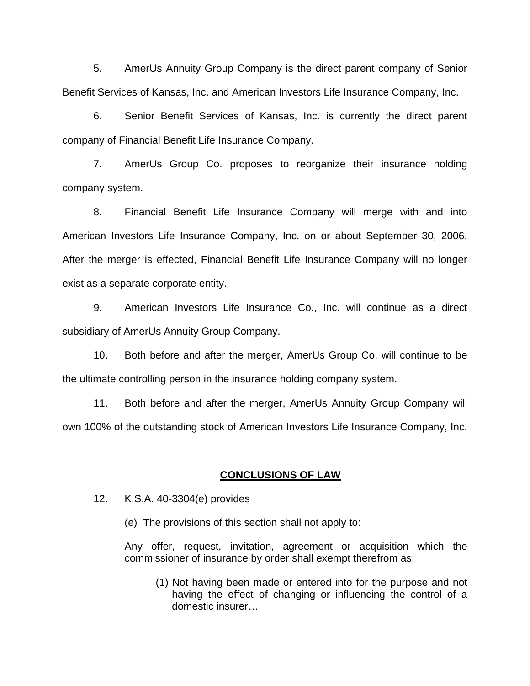5. AmerUs Annuity Group Company is the direct parent company of Senior Benefit Services of Kansas, Inc. and American Investors Life Insurance Company, Inc.

 6. Senior Benefit Services of Kansas, Inc. is currently the direct parent company of Financial Benefit Life Insurance Company.

 7. AmerUs Group Co. proposes to reorganize their insurance holding company system.

8. Financial Benefit Life Insurance Company will merge with and into American Investors Life Insurance Company, Inc. on or about September 30, 2006. After the merger is effected, Financial Benefit Life Insurance Company will no longer exist as a separate corporate entity.

9. American Investors Life Insurance Co., Inc. will continue as a direct subsidiary of AmerUs Annuity Group Company.

10. Both before and after the merger, AmerUs Group Co. will continue to be the ultimate controlling person in the insurance holding company system.

11. Both before and after the merger, AmerUs Annuity Group Company will own 100% of the outstanding stock of American Investors Life Insurance Company, Inc.

### **CONCLUSIONS OF LAW**

12. K.S.A. 40-3304(e) provides

(e) The provisions of this section shall not apply to:

Any offer, request, invitation, agreement or acquisition which the commissioner of insurance by order shall exempt therefrom as:

(1) Not having been made or entered into for the purpose and not having the effect of changing or influencing the control of a domestic insurer…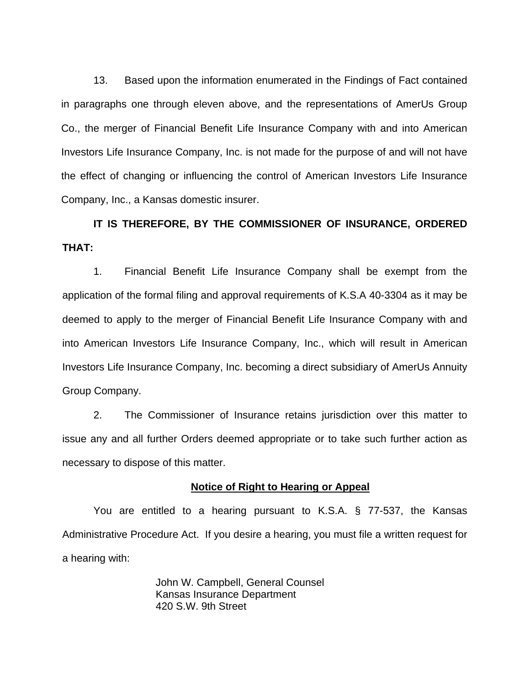13. Based upon the information enumerated in the Findings of Fact contained in paragraphs one through eleven above, and the representations of AmerUs Group Co., the merger of Financial Benefit Life Insurance Company with and into American Investors Life Insurance Company, Inc. is not made for the purpose of and will not have the effect of changing or influencing the control of American Investors Life Insurance Company, Inc., a Kansas domestic insurer.

# **IT IS THEREFORE, BY THE COMMISSIONER OF INSURANCE, ORDERED THAT:**

1. Financial Benefit Life Insurance Company shall be exempt from the application of the formal filing and approval requirements of K.S.A 40-3304 as it may be deemed to apply to the merger of Financial Benefit Life Insurance Company with and into American Investors Life Insurance Company, Inc., which will result in American Investors Life Insurance Company, Inc. becoming a direct subsidiary of AmerUs Annuity Group Company.

2. The Commissioner of Insurance retains jurisdiction over this matter to issue any and all further Orders deemed appropriate or to take such further action as necessary to dispose of this matter.

### **Notice of Right to Hearing or Appeal**

You are entitled to a hearing pursuant to K.S.A. § 77-537, the Kansas Administrative Procedure Act. If you desire a hearing, you must file a written request for a hearing with:

> John W. Campbell, General Counsel Kansas Insurance Department 420 S.W. 9th Street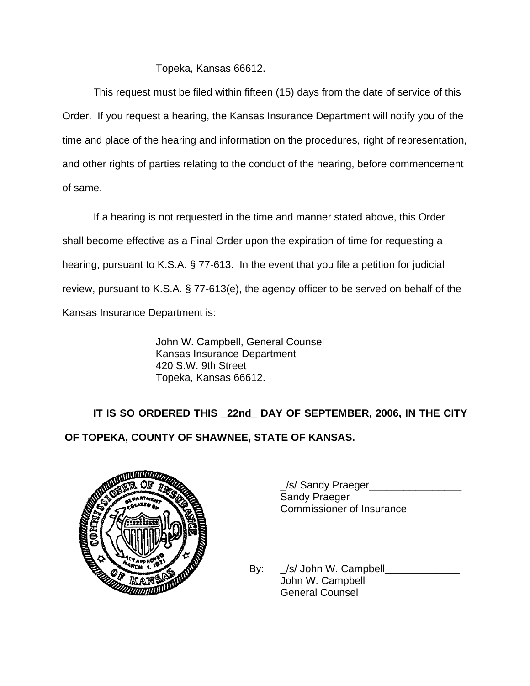# Topeka, Kansas 66612.

This request must be filed within fifteen (15) days from the date of service of this Order. If you request a hearing, the Kansas Insurance Department will notify you of the time and place of the hearing and information on the procedures, right of representation, and other rights of parties relating to the conduct of the hearing, before commencement of same.

If a hearing is not requested in the time and manner stated above, this Order shall become effective as a Final Order upon the expiration of time for requesting a hearing, pursuant to K.S.A. § 77-613. In the event that you file a petition for judicial review, pursuant to K.S.A. § 77-613(e), the agency officer to be served on behalf of the Kansas Insurance Department is:

> John W. Campbell, General Counsel Kansas Insurance Department 420 S.W. 9th Street Topeka, Kansas 66612.

 **IT IS SO ORDERED THIS \_22nd\_ DAY OF SEPTEMBER, 2006, IN THE CITY OF TOPEKA, COUNTY OF SHAWNEE, STATE OF KANSAS.** 



\_/s/ Sandy Praeger\_\_\_\_\_\_\_\_\_\_\_\_\_\_\_\_ Sandy Praeger Commissioner of Insurance

By:  $\angle$ /s/ John W. Campbell John W. Campbell General Counsel